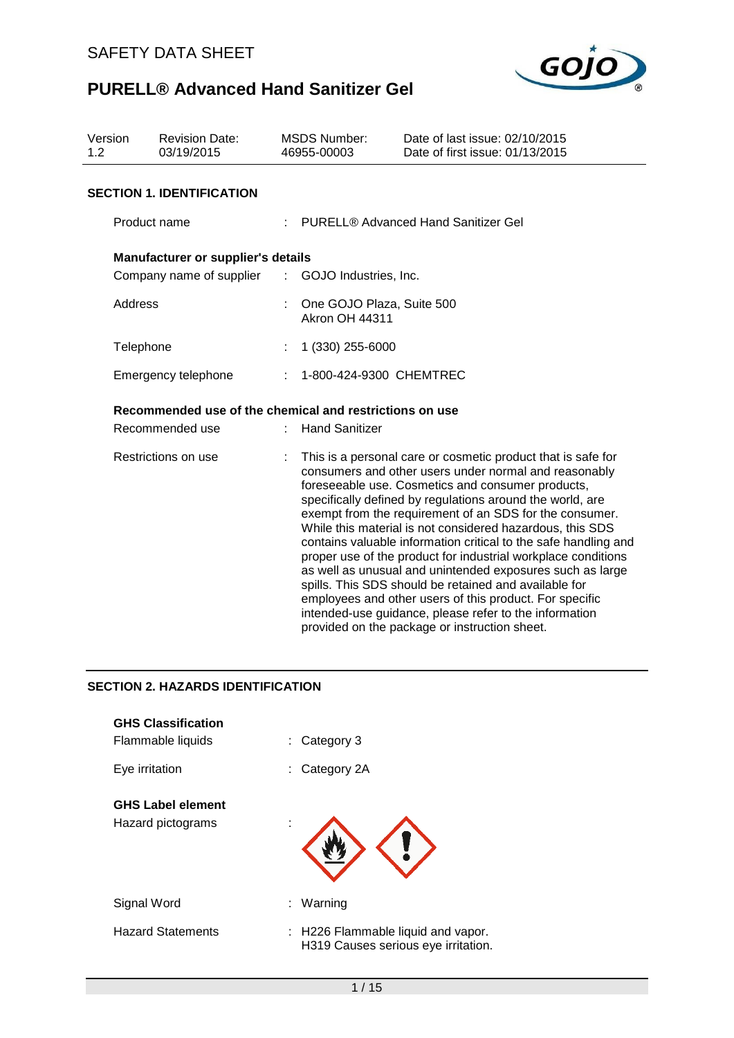

| Version<br>1.2      | <b>Revision Date:</b><br>03/19/2015                     |   | <b>MSDS Number:</b><br>46955-00003                                                                                                                                                                                                                                                                                                                                                                                                                                                                                                                                                                                                                                                                                                                                                              | Date of last issue: 02/10/2015<br>Date of first issue: 01/13/2015 |
|---------------------|---------------------------------------------------------|---|-------------------------------------------------------------------------------------------------------------------------------------------------------------------------------------------------------------------------------------------------------------------------------------------------------------------------------------------------------------------------------------------------------------------------------------------------------------------------------------------------------------------------------------------------------------------------------------------------------------------------------------------------------------------------------------------------------------------------------------------------------------------------------------------------|-------------------------------------------------------------------|
|                     | <b>SECTION 1. IDENTIFICATION</b>                        |   |                                                                                                                                                                                                                                                                                                                                                                                                                                                                                                                                                                                                                                                                                                                                                                                                 |                                                                   |
| Product name        |                                                         |   |                                                                                                                                                                                                                                                                                                                                                                                                                                                                                                                                                                                                                                                                                                                                                                                                 | : PURELL® Advanced Hand Sanitizer Gel                             |
|                     | Manufacturer or supplier's details                      |   |                                                                                                                                                                                                                                                                                                                                                                                                                                                                                                                                                                                                                                                                                                                                                                                                 |                                                                   |
|                     | Company name of supplier : GOJO Industries, Inc.        |   |                                                                                                                                                                                                                                                                                                                                                                                                                                                                                                                                                                                                                                                                                                                                                                                                 |                                                                   |
| Address             |                                                         |   | One GOJO Plaza, Suite 500<br><b>Akron OH 44311</b>                                                                                                                                                                                                                                                                                                                                                                                                                                                                                                                                                                                                                                                                                                                                              |                                                                   |
| Telephone           |                                                         |   | 1 (330) 255-6000                                                                                                                                                                                                                                                                                                                                                                                                                                                                                                                                                                                                                                                                                                                                                                                |                                                                   |
| Emergency telephone |                                                         | ÷ | 1-800-424-9300 CHEMTREC                                                                                                                                                                                                                                                                                                                                                                                                                                                                                                                                                                                                                                                                                                                                                                         |                                                                   |
|                     | Recommended use of the chemical and restrictions on use |   |                                                                                                                                                                                                                                                                                                                                                                                                                                                                                                                                                                                                                                                                                                                                                                                                 |                                                                   |
|                     | Recommended use                                         |   | <b>Hand Sanitizer</b>                                                                                                                                                                                                                                                                                                                                                                                                                                                                                                                                                                                                                                                                                                                                                                           |                                                                   |
| Restrictions on use |                                                         |   | This is a personal care or cosmetic product that is safe for<br>consumers and other users under normal and reasonably<br>foreseeable use. Cosmetics and consumer products,<br>specifically defined by regulations around the world, are<br>exempt from the requirement of an SDS for the consumer.<br>While this material is not considered hazardous, this SDS<br>contains valuable information critical to the safe handling and<br>proper use of the product for industrial workplace conditions<br>as well as unusual and unintended exposures such as large<br>spills. This SDS should be retained and available for<br>employees and other users of this product. For specific<br>intended-use guidance, please refer to the information<br>provided on the package or instruction sheet. |                                                                   |

# **SECTION 2. HAZARDS IDENTIFICATION**

| <b>GHS Classification</b><br>Flammable liquids | Category 3<br>÷.                                                          |
|------------------------------------------------|---------------------------------------------------------------------------|
| Eye irritation                                 | Category 2A                                                               |
| <b>GHS Label element</b><br>Hazard pictograms  |                                                                           |
| Signal Word                                    | Warning<br>÷.                                                             |
| <b>Hazard Statements</b>                       | : H226 Flammable liquid and vapor.<br>H319 Causes serious eye irritation. |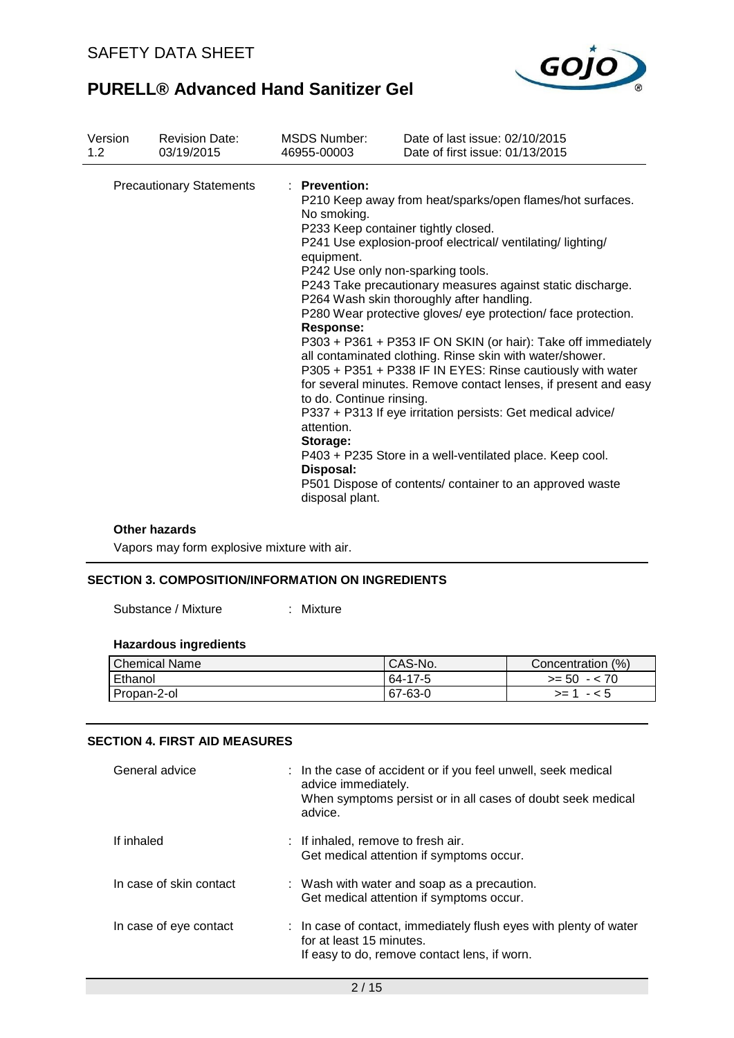

| Version | <b>Revision Date:</b>           | <b>MSDS Number:</b>                                                                                                                                                                       | Date of last issue: 02/10/2015                                                                                                                                                                                                                                                                                                                                                                                                                                                                                                                                                                                                                                                                                                                                                                  |
|---------|---------------------------------|-------------------------------------------------------------------------------------------------------------------------------------------------------------------------------------------|-------------------------------------------------------------------------------------------------------------------------------------------------------------------------------------------------------------------------------------------------------------------------------------------------------------------------------------------------------------------------------------------------------------------------------------------------------------------------------------------------------------------------------------------------------------------------------------------------------------------------------------------------------------------------------------------------------------------------------------------------------------------------------------------------|
| 1.2     | 03/19/2015                      | 46955-00003                                                                                                                                                                               | Date of first issue: 01/13/2015                                                                                                                                                                                                                                                                                                                                                                                                                                                                                                                                                                                                                                                                                                                                                                 |
|         | <b>Precautionary Statements</b> | : Prevention:<br>No smoking.<br>equipment.<br>P242 Use only non-sparking tools.<br><b>Response:</b><br>to do. Continue rinsing.<br>attention.<br>Storage:<br>Disposal:<br>disposal plant. | P210 Keep away from heat/sparks/open flames/hot surfaces.<br>P233 Keep container tightly closed.<br>P241 Use explosion-proof electrical/ ventilating/lighting/<br>P243 Take precautionary measures against static discharge.<br>P264 Wash skin thoroughly after handling.<br>P280 Wear protective gloves/ eye protection/ face protection.<br>P303 + P361 + P353 IF ON SKIN (or hair): Take off immediately<br>all contaminated clothing. Rinse skin with water/shower.<br>P305 + P351 + P338 IF IN EYES: Rinse cautiously with water<br>for several minutes. Remove contact lenses, if present and easy<br>P337 + P313 If eye irritation persists: Get medical advice/<br>P403 + P235 Store in a well-ventilated place. Keep cool.<br>P501 Dispose of contents/ container to an approved waste |

#### **Other hazards**

Vapors may form explosive mixture with air.

## **SECTION 3. COMPOSITION/INFORMATION ON INGREDIENTS**

Substance / Mixture : Mixture

# **Hazardous ingredients**

| l Chemical Name | CAS-No. | Concentration (%) |
|-----------------|---------|-------------------|
| Ethanol         | 64-17-5 | $>= 50 - 70$      |
| Propan-2-ol     | 67-63-0 | $>= 1 - 5$        |

### **SECTION 4. FIRST AID MEASURES**

| General advice          | : In the case of accident or if you feel unwell, seek medical<br>advice immediately.<br>When symptoms persist or in all cases of doubt seek medical<br>advice. |
|-------------------------|----------------------------------------------------------------------------------------------------------------------------------------------------------------|
| If inhaled              | : If inhaled, remove to fresh air.<br>Get medical attention if symptoms occur.                                                                                 |
| In case of skin contact | : Wash with water and soap as a precaution.<br>Get medical attention if symptoms occur.                                                                        |
| In case of eye contact  | : In case of contact, immediately flush eyes with plenty of water<br>for at least 15 minutes.<br>If easy to do, remove contact lens, if worn.                  |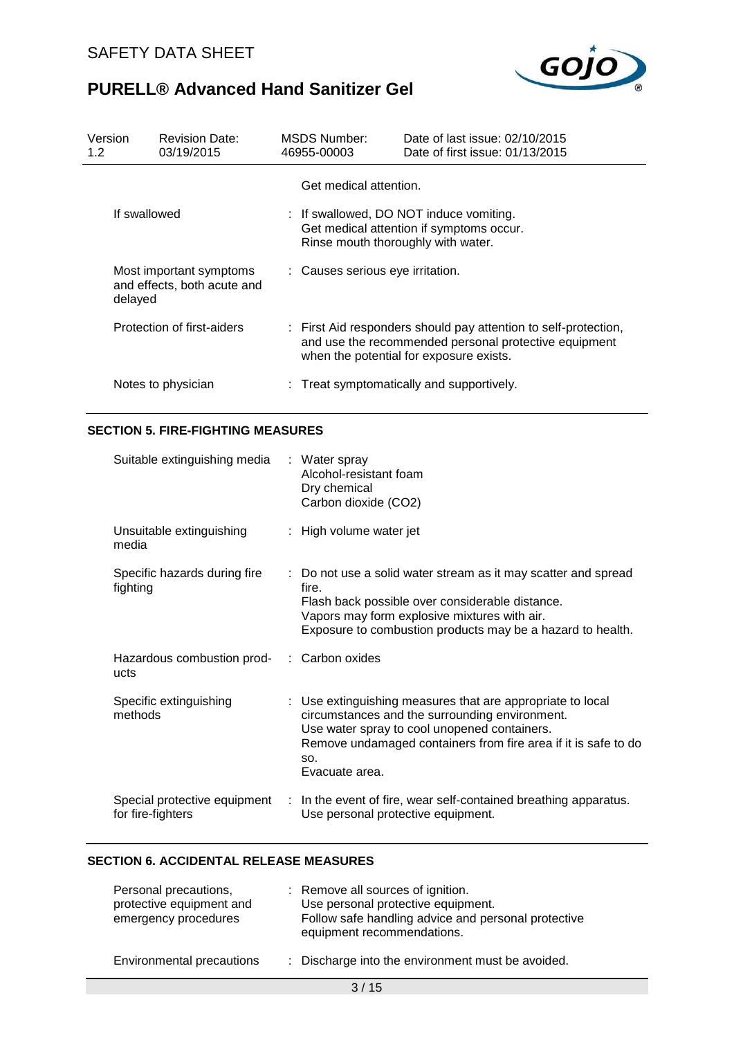

| Version<br>1.2 <sub>2</sub> | <b>Revision Date:</b><br>03/19/2015                               |  | MSDS Number:<br>46955-00003                                  | Date of last issue: 02/10/2015<br>Date of first issue: 01/13/2015                                                                                                   |
|-----------------------------|-------------------------------------------------------------------|--|--------------------------------------------------------------|---------------------------------------------------------------------------------------------------------------------------------------------------------------------|
|                             | If swallowed                                                      |  | Get medical attention.<br>Rinse mouth thoroughly with water. | : If swallowed, DO NOT induce vomiting.<br>Get medical attention if symptoms occur.                                                                                 |
|                             | Most important symptoms<br>and effects, both acute and<br>delayed |  | : Causes serious eye irritation.                             |                                                                                                                                                                     |
|                             | Protection of first-aiders                                        |  |                                                              | : First Aid responders should pay attention to self-protection,<br>and use the recommended personal protective equipment<br>when the potential for exposure exists. |
|                             | Notes to physician                                                |  |                                                              | : Treat symptomatically and supportively.                                                                                                                           |

# **SECTION 5. FIRE-FIGHTING MEASURES**

| Suitable extinguishing media                       | : Water spray<br>Alcohol-resistant foam<br>Dry chemical<br>Carbon dioxide (CO2)                                                                                                                                                                         |
|----------------------------------------------------|---------------------------------------------------------------------------------------------------------------------------------------------------------------------------------------------------------------------------------------------------------|
| Unsuitable extinguishing<br>media                  | : High volume water jet                                                                                                                                                                                                                                 |
| Specific hazards during fire<br>fighting           | : Do not use a solid water stream as it may scatter and spread<br>fire.<br>Flash back possible over considerable distance.<br>Vapors may form explosive mixtures with air.<br>Exposure to combustion products may be a hazard to health.                |
| Hazardous combustion prod- : Carbon oxides<br>ucts |                                                                                                                                                                                                                                                         |
| Specific extinguishing<br>methods                  | : Use extinguishing measures that are appropriate to local<br>circumstances and the surrounding environment.<br>Use water spray to cool unopened containers.<br>Remove undamaged containers from fire area if it is safe to do<br>SO.<br>Evacuate area. |
| Special protective equipment<br>for fire-fighters  | : In the event of fire, wear self-contained breathing apparatus.<br>Use personal protective equipment.                                                                                                                                                  |

# **SECTION 6. ACCIDENTAL RELEASE MEASURES**

| Personal precautions,<br>protective equipment and<br>emergency procedures | : Remove all sources of ignition.<br>Use personal protective equipment.<br>Follow safe handling advice and personal protective<br>equipment recommendations. |
|---------------------------------------------------------------------------|--------------------------------------------------------------------------------------------------------------------------------------------------------------|
| Environmental precautions                                                 | : Discharge into the environment must be avoided.                                                                                                            |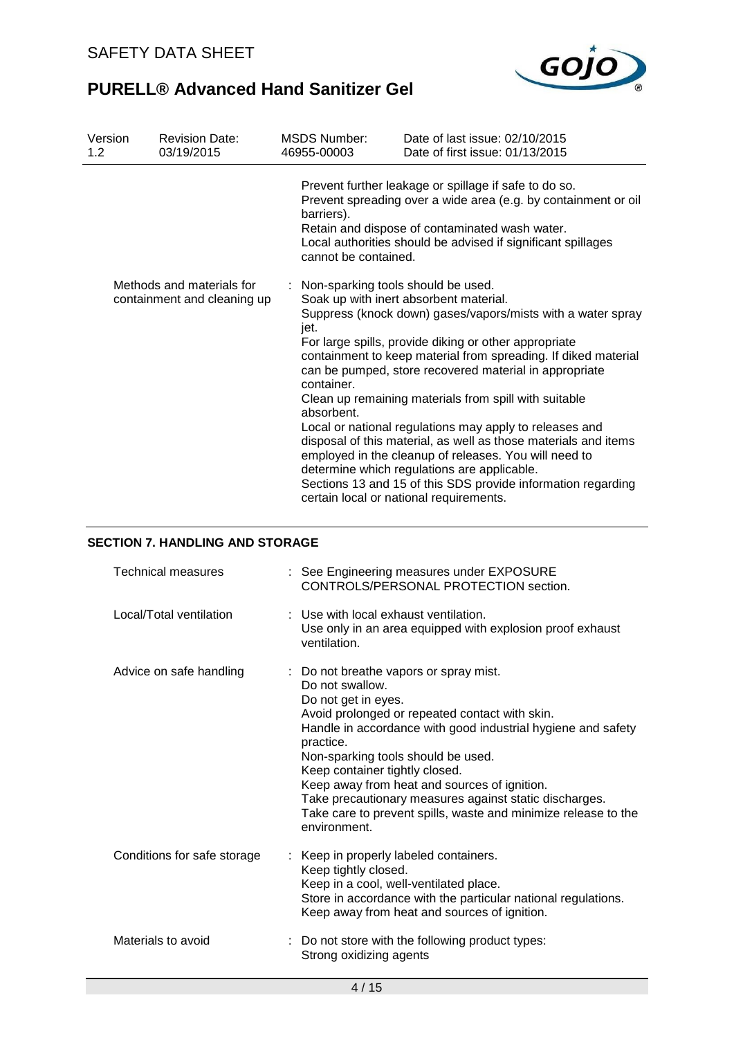

| Version<br>1.2                                           | <b>Revision Date:</b><br>03/19/2015 | <b>MSDS Number:</b><br>46955-00003                                       | Date of last issue: 02/10/2015<br>Date of first issue: 01/13/2015                                                                                                                                                                                                                                                                                                                                                                                                                                                                                                                                                                                                                                    |
|----------------------------------------------------------|-------------------------------------|--------------------------------------------------------------------------|------------------------------------------------------------------------------------------------------------------------------------------------------------------------------------------------------------------------------------------------------------------------------------------------------------------------------------------------------------------------------------------------------------------------------------------------------------------------------------------------------------------------------------------------------------------------------------------------------------------------------------------------------------------------------------------------------|
|                                                          |                                     | barriers).<br>cannot be contained.                                       | Prevent further leakage or spillage if safe to do so.<br>Prevent spreading over a wide area (e.g. by containment or oil<br>Retain and dispose of contaminated wash water.<br>Local authorities should be advised if significant spillages                                                                                                                                                                                                                                                                                                                                                                                                                                                            |
| Methods and materials for<br>containment and cleaning up |                                     | : Non-sparking tools should be used.<br>jet.<br>container.<br>absorbent. | Soak up with inert absorbent material.<br>Suppress (knock down) gases/vapors/mists with a water spray<br>For large spills, provide diking or other appropriate<br>containment to keep material from spreading. If diked material<br>can be pumped, store recovered material in appropriate<br>Clean up remaining materials from spill with suitable<br>Local or national regulations may apply to releases and<br>disposal of this material, as well as those materials and items<br>employed in the cleanup of releases. You will need to<br>determine which regulations are applicable.<br>Sections 13 and 15 of this SDS provide information regarding<br>certain local or national requirements. |

### **SECTION 7. HANDLING AND STORAGE**

| Technical measures          | : See Engineering measures under EXPOSURE<br>CONTROLS/PERSONAL PROTECTION section.                                                                                                                                                                                                                                                                                                                                                                                                  |
|-----------------------------|-------------------------------------------------------------------------------------------------------------------------------------------------------------------------------------------------------------------------------------------------------------------------------------------------------------------------------------------------------------------------------------------------------------------------------------------------------------------------------------|
| Local/Total ventilation     | : Use with local exhaust ventilation.<br>Use only in an area equipped with explosion proof exhaust<br>ventilation.                                                                                                                                                                                                                                                                                                                                                                  |
| Advice on safe handling     | : Do not breathe vapors or spray mist.<br>Do not swallow.<br>Do not get in eyes.<br>Avoid prolonged or repeated contact with skin.<br>Handle in accordance with good industrial hygiene and safety<br>practice.<br>Non-sparking tools should be used.<br>Keep container tightly closed.<br>Keep away from heat and sources of ignition.<br>Take precautionary measures against static discharges.<br>Take care to prevent spills, waste and minimize release to the<br>environment. |
| Conditions for safe storage | Keep in properly labeled containers.<br>Keep tightly closed.<br>Keep in a cool, well-ventilated place.<br>Store in accordance with the particular national regulations.<br>Keep away from heat and sources of ignition.                                                                                                                                                                                                                                                             |
| Materials to avoid          | : Do not store with the following product types:<br>Strong oxidizing agents                                                                                                                                                                                                                                                                                                                                                                                                         |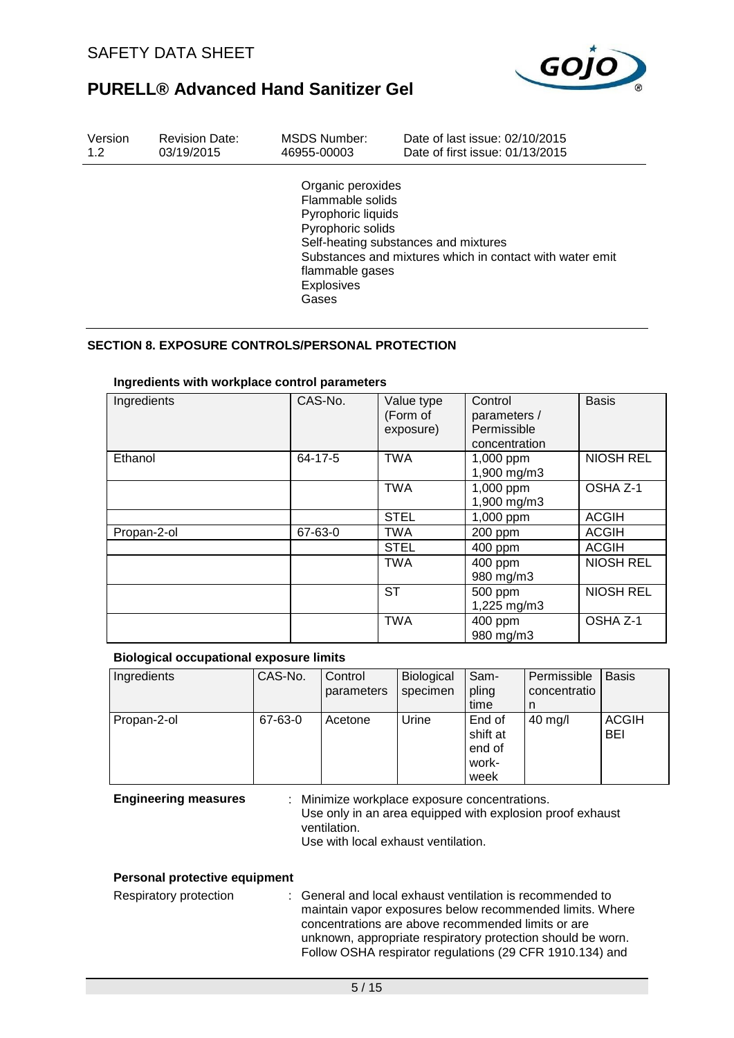

| Version | <b>Revision Date:</b> | MSDS Number:                                                                                                                      | Date of last issue: 02/10/2015                                                                   |
|---------|-----------------------|-----------------------------------------------------------------------------------------------------------------------------------|--------------------------------------------------------------------------------------------------|
| 1.2     | 03/19/2015            | 46955-00003                                                                                                                       | Date of first issue: 01/13/2015                                                                  |
|         |                       | Organic peroxides<br>Flammable solids<br>Pyrophoric liquids<br>Pyrophoric solids<br>flammable gases<br><b>Explosives</b><br>Gases | Self-heating substances and mixtures<br>Substances and mixtures which in contact with water emit |

### **SECTION 8. EXPOSURE CONTROLS/PERSONAL PROTECTION**

| Ingredients | CAS-No. | Value type<br>(Form of<br>exposure) | Control<br>parameters /<br>Permissible<br>concentration | <b>Basis</b>     |
|-------------|---------|-------------------------------------|---------------------------------------------------------|------------------|
| Ethanol     | 64-17-5 | <b>TWA</b>                          | 1,000 ppm<br>1,900 mg/m3                                | <b>NIOSH REL</b> |
|             |         | <b>TWA</b>                          | 1,000 ppm<br>1,900 mg/m3                                | OSHA Z-1         |
|             |         | <b>STEL</b>                         | 1,000 ppm                                               | <b>ACGIH</b>     |
| Propan-2-ol | 67-63-0 | <b>TWA</b>                          | 200 ppm                                                 | <b>ACGIH</b>     |
|             |         | <b>STEL</b>                         | 400 ppm                                                 | <b>ACGIH</b>     |
|             |         | <b>TWA</b>                          | 400 ppm<br>980 mg/m3                                    | <b>NIOSH REL</b> |
|             |         | ST                                  | 500 ppm<br>1,225 mg/m3                                  | <b>NIOSH REL</b> |
|             |         | <b>TWA</b>                          | 400 ppm<br>980 mg/m3                                    | OSHA Z-1         |

#### **Ingredients with workplace control parameters**

### **Biological occupational exposure limits**

| Ingredients | CAS-No. | Control<br>parameters | Biological<br>specimen | Sam-<br>pling<br>time                         | Permissible<br>concentratio<br>n | <b>Basis</b>        |
|-------------|---------|-----------------------|------------------------|-----------------------------------------------|----------------------------------|---------------------|
| Propan-2-ol | 67-63-0 | Acetone               | Urine                  | End of<br>shift at<br>end of<br>work-<br>week | $40$ mg/l                        | <b>ACGIH</b><br>BEI |

**Engineering measures** : Minimize workplace exposure concentrations. Use only in an area equipped with explosion proof exhaust ventilation. Use with local exhaust ventilation.

#### **Personal protective equipment**

Respiratory protection : General and local exhaust ventilation is recommended to maintain vapor exposures below recommended limits. Where concentrations are above recommended limits or are unknown, appropriate respiratory protection should be worn. Follow OSHA respirator regulations (29 CFR 1910.134) and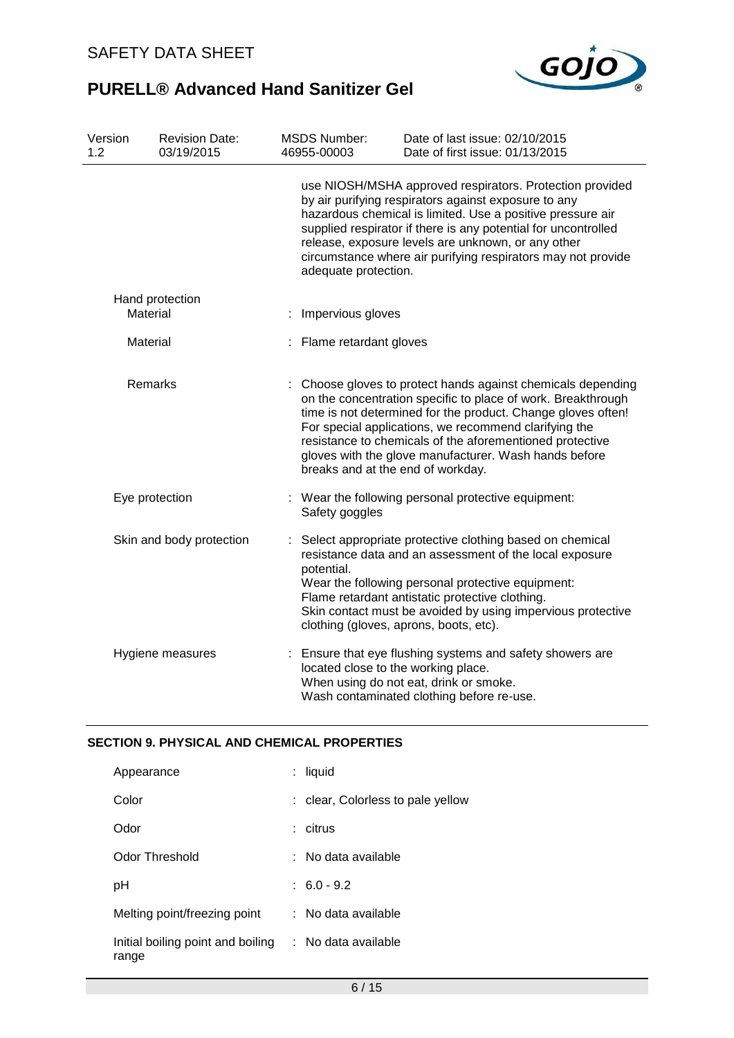

| Version<br>1.2 | <b>Revision Date:</b><br>03/19/2015 | <b>MSDS Number:</b><br>46955-00003  | Date of last issue: 02/10/2015<br>Date of first issue: 01/13/2015                                                                                                                                                                                                                                                                                                          |
|----------------|-------------------------------------|-------------------------------------|----------------------------------------------------------------------------------------------------------------------------------------------------------------------------------------------------------------------------------------------------------------------------------------------------------------------------------------------------------------------------|
|                |                                     | adequate protection.                | use NIOSH/MSHA approved respirators. Protection provided<br>by air purifying respirators against exposure to any<br>hazardous chemical is limited. Use a positive pressure air<br>supplied respirator if there is any potential for uncontrolled<br>release, exposure levels are unknown, or any other<br>circumstance where air purifying respirators may not provide     |
|                | Hand protection<br>Material         | Impervious gloves                   |                                                                                                                                                                                                                                                                                                                                                                            |
| Material       |                                     | : Flame retardant gloves            |                                                                                                                                                                                                                                                                                                                                                                            |
|                | Remarks                             | breaks and at the end of workday.   | : Choose gloves to protect hands against chemicals depending<br>on the concentration specific to place of work. Breakthrough<br>time is not determined for the product. Change gloves often!<br>For special applications, we recommend clarifying the<br>resistance to chemicals of the aforementioned protective<br>gloves with the glove manufacturer. Wash hands before |
|                | Eye protection                      | Safety goggles                      | Wear the following personal protective equipment:                                                                                                                                                                                                                                                                                                                          |
|                | Skin and body protection            | potential.                          | Select appropriate protective clothing based on chemical<br>resistance data and an assessment of the local exposure<br>Wear the following personal protective equipment:<br>Flame retardant antistatic protective clothing.<br>Skin contact must be avoided by using impervious protective<br>clothing (gloves, aprons, boots, etc).                                       |
|                | Hygiene measures                    | located close to the working place. | : Ensure that eye flushing systems and safety showers are<br>When using do not eat, drink or smoke.<br>Wash contaminated clothing before re-use.                                                                                                                                                                                                                           |

## **SECTION 9. PHYSICAL AND CHEMICAL PROPERTIES**

| Appearance                                                     | : liquid                          |
|----------------------------------------------------------------|-----------------------------------|
| Color                                                          | : clear, Colorless to pale yellow |
| Odor                                                           | : citrus                          |
| Odor Threshold                                                 | : No data available               |
| рH                                                             | $: 6.0 - 9.2$                     |
| Melting point/freezing point                                   | $:$ No data available             |
| Initial boiling point and boiling : No data available<br>range |                                   |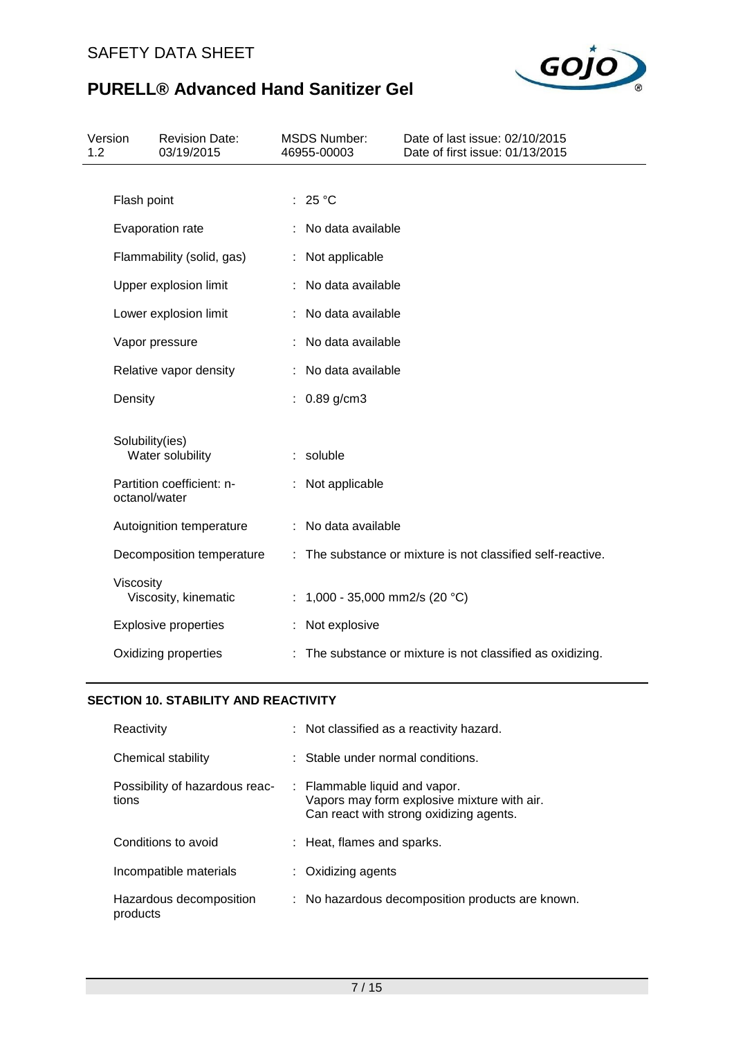

| Version<br>1.2 |                 | <b>Revision Date:</b><br>03/19/2015 | <b>MSDS Number:</b><br>46955-00003 | Date of last issue: 02/10/2015<br>Date of first issue: 01/13/2015 |
|----------------|-----------------|-------------------------------------|------------------------------------|-------------------------------------------------------------------|
|                |                 |                                     |                                    |                                                                   |
|                | Flash point     |                                     | : $25^{\circ}$ C                   |                                                                   |
|                |                 | Evaporation rate                    | : No data available                |                                                                   |
|                |                 | Flammability (solid, gas)           | : Not applicable                   |                                                                   |
|                |                 | Upper explosion limit               | No data available                  |                                                                   |
|                |                 | Lower explosion limit               | No data available                  |                                                                   |
|                | Vapor pressure  |                                     | : No data available                |                                                                   |
|                |                 | Relative vapor density              | : No data available                |                                                                   |
|                | Density         |                                     | : $0.89$ g/cm3                     |                                                                   |
|                | Solubility(ies) | Water solubility                    | : soluble                          |                                                                   |
|                | octanol/water   | Partition coefficient: n-           | : Not applicable                   |                                                                   |
|                |                 | Autoignition temperature            | : No data available                |                                                                   |
|                |                 | Decomposition temperature           |                                    | : The substance or mixture is not classified self-reactive.       |
|                | Viscosity       | Viscosity, kinematic                | 1,000 - 35,000 mm2/s (20 °C)       |                                                                   |
|                |                 | <b>Explosive properties</b>         | Not explosive                      |                                                                   |
|                |                 | Oxidizing properties                |                                    | : The substance or mixture is not classified as oxidizing.        |

## **SECTION 10. STABILITY AND REACTIVITY**

| Reactivity                              | : Not classified as a reactivity hazard.                                                                                |
|-----------------------------------------|-------------------------------------------------------------------------------------------------------------------------|
| Chemical stability                      | $\therefore$ Stable under normal conditions.                                                                            |
| Possibility of hazardous reac-<br>tions | : Flammable liquid and vapor.<br>Vapors may form explosive mixture with air.<br>Can react with strong oxidizing agents. |
| Conditions to avoid                     | : Heat, flames and sparks.                                                                                              |
| Incompatible materials                  | : Oxidizing agents                                                                                                      |
| Hazardous decomposition<br>products     | : No hazardous decomposition products are known.                                                                        |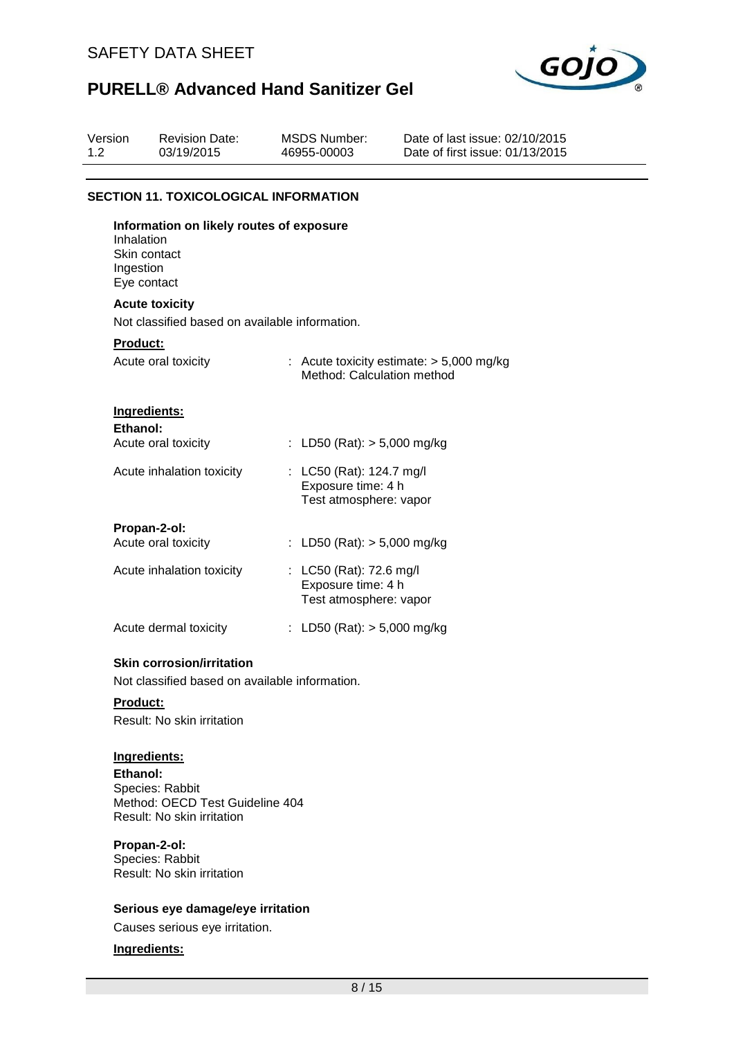

| Version<br>1.2 | <b>Revision Date:</b><br>03/19/2015                                                                | <b>MSDS Number:</b><br>46955-00003                                       | Date of last issue: 02/10/2015<br>Date of first issue: 01/13/2015 |
|----------------|----------------------------------------------------------------------------------------------------|--------------------------------------------------------------------------|-------------------------------------------------------------------|
|                |                                                                                                    |                                                                          |                                                                   |
|                | <b>SECTION 11. TOXICOLOGICAL INFORMATION</b>                                                       |                                                                          |                                                                   |
|                | Information on likely routes of exposure<br>Inhalation<br>Skin contact<br>Ingestion<br>Eye contact |                                                                          |                                                                   |
|                | <b>Acute toxicity</b>                                                                              |                                                                          |                                                                   |
|                | Not classified based on available information.                                                     |                                                                          |                                                                   |
|                | <b>Product:</b>                                                                                    |                                                                          |                                                                   |
|                | Acute oral toxicity                                                                                | Method: Calculation method                                               | : Acute toxicity estimate: $> 5,000$ mg/kg                        |
|                | Ingredients:<br>Ethanol:                                                                           |                                                                          |                                                                   |
|                | Acute oral toxicity                                                                                | : LD50 (Rat): $> 5,000$ mg/kg                                            |                                                                   |
|                | Acute inhalation toxicity                                                                          | : LC50 (Rat): 124.7 mg/l<br>Exposure time: 4 h<br>Test atmosphere: vapor |                                                                   |
|                | Propan-2-ol:                                                                                       |                                                                          |                                                                   |
|                | Acute oral toxicity                                                                                | : LD50 (Rat): $> 5,000$ mg/kg                                            |                                                                   |
|                | Acute inhalation toxicity                                                                          | : LC50 (Rat): 72.6 mg/l<br>Exposure time: 4 h<br>Test atmosphere: vapor  |                                                                   |
|                | Acute dermal toxicity                                                                              | : LD50 (Rat): $> 5,000$ mg/kg                                            |                                                                   |
|                | <b>Skin corrosion/irritation</b><br>Not classified based on available information.                 |                                                                          |                                                                   |
|                | <b>Product:</b><br>Result: No skin irritation                                                      |                                                                          |                                                                   |

# **Ingredients:**

**Ethanol:** Species: Rabbit Method: OECD Test Guideline 404 Result: No skin irritation

### **Propan-2-ol:**

Species: Rabbit Result: No skin irritation

### **Serious eye damage/eye irritation**

Causes serious eye irritation.

### **Ingredients:**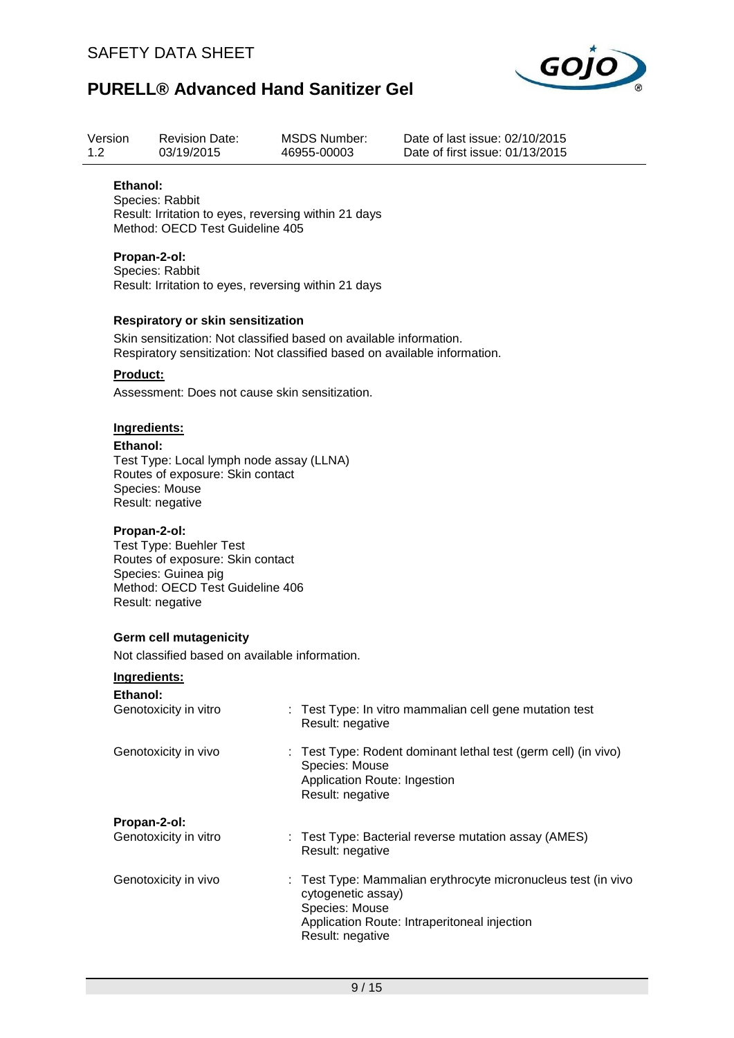

| Version<br>1.2           | <b>Revision Date:</b><br>03/19/2015                                                                                                                                                                                                           | <b>MSDS Number:</b><br>46955-00003                                 | Date of last issue: 02/10/2015<br>Date of first issue: 01/13/2015 |  |  |  |  |  |  |
|--------------------------|-----------------------------------------------------------------------------------------------------------------------------------------------------------------------------------------------------------------------------------------------|--------------------------------------------------------------------|-------------------------------------------------------------------|--|--|--|--|--|--|
| Ethanol:                 | Species: Rabbit<br>Result: Irritation to eyes, reversing within 21 days<br>Method: OECD Test Guideline 405                                                                                                                                    |                                                                    |                                                                   |  |  |  |  |  |  |
|                          | Propan-2-ol:<br>Species: Rabbit<br>Result: Irritation to eyes, reversing within 21 days                                                                                                                                                       |                                                                    |                                                                   |  |  |  |  |  |  |
| <b>Product:</b>          | <b>Respiratory or skin sensitization</b><br>Skin sensitization: Not classified based on available information.<br>Respiratory sensitization: Not classified based on available information.<br>Assessment: Does not cause skin sensitization. |                                                                    |                                                                   |  |  |  |  |  |  |
| Ingredients:<br>Ethanol: | Test Type: Local lymph node assay (LLNA)<br>Routes of exposure: Skin contact<br>Species: Mouse<br>Result: negative                                                                                                                            |                                                                    |                                                                   |  |  |  |  |  |  |
|                          | Propan-2-ol:<br><b>Test Type: Buehler Test</b><br>Routes of exposure: Skin contact<br>Species: Guinea pig<br>Method: OECD Test Guideline 406<br>Result: negative                                                                              |                                                                    |                                                                   |  |  |  |  |  |  |
|                          | <b>Germ cell mutagenicity</b><br>Not classified based on available information.                                                                                                                                                               |                                                                    |                                                                   |  |  |  |  |  |  |
| Ingredients:             |                                                                                                                                                                                                                                               |                                                                    |                                                                   |  |  |  |  |  |  |
| Ethanol:                 | Genotoxicity in vitro                                                                                                                                                                                                                         | Result: negative                                                   | : Test Type: In vitro mammalian cell gene mutation test           |  |  |  |  |  |  |
|                          | Genotoxicity in vivo                                                                                                                                                                                                                          | Species: Mouse<br>Application Route: Ingestion<br>Result: negative | : Test Type: Rodent dominant lethal test (germ cell) (in vivo)    |  |  |  |  |  |  |
| Propan-2-ol:             | Genotoxicity in vitro                                                                                                                                                                                                                         | Result: negative                                                   | : Test Type: Bacterial reverse mutation assay (AMES)              |  |  |  |  |  |  |
|                          | Genotoxicity in vivo                                                                                                                                                                                                                          | cytogenetic assay)<br>Species: Mouse                               | Test Type: Mammalian erythrocyte micronucleus test (in vivo       |  |  |  |  |  |  |

Result: negative

Application Route: Intraperitoneal injection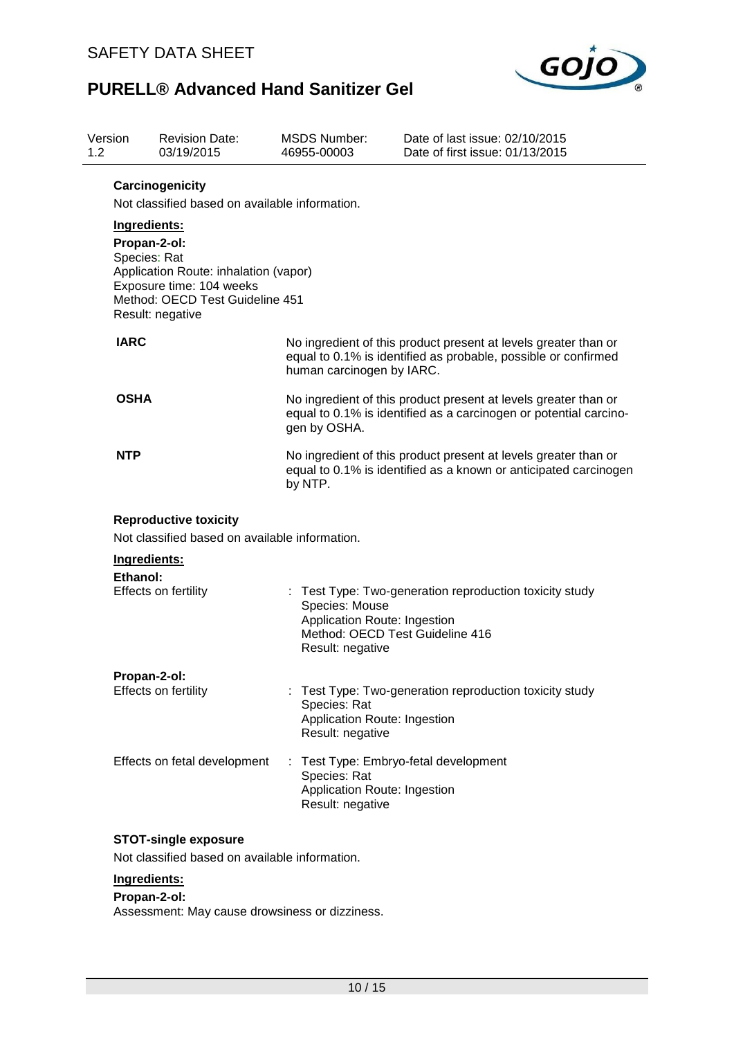

| Version<br>1.2 | <b>Revision Date:</b><br>03/19/2015                                                                                                                                                                                                           | 46955-00003 | <b>MSDS Number:</b>                                                | Date of last issue: 02/10/2015<br>Date of first issue: 01/13/2015                                                                    |
|----------------|-----------------------------------------------------------------------------------------------------------------------------------------------------------------------------------------------------------------------------------------------|-------------|--------------------------------------------------------------------|--------------------------------------------------------------------------------------------------------------------------------------|
|                | Carcinogenicity<br>Not classified based on available information.<br>Ingredients:<br>Propan-2-ol:<br>Species: Rat<br>Application Route: inhalation (vapor)<br>Exposure time: 104 weeks<br>Method: OECD Test Guideline 451<br>Result: negative |             |                                                                    |                                                                                                                                      |
| <b>IARC</b>    |                                                                                                                                                                                                                                               |             | human carcinogen by IARC.                                          | No ingredient of this product present at levels greater than or<br>equal to 0.1% is identified as probable, possible or confirmed    |
| <b>OSHA</b>    |                                                                                                                                                                                                                                               |             | gen by OSHA.                                                       | No ingredient of this product present at levels greater than or<br>equal to 0.1% is identified as a carcinogen or potential carcino- |
| <b>NTP</b>     |                                                                                                                                                                                                                                               | by NTP.     |                                                                    | No ingredient of this product present at levels greater than or<br>equal to 0.1% is identified as a known or anticipated carcinogen  |
|                | <b>Reproductive toxicity</b><br>Not classified based on available information.                                                                                                                                                                |             |                                                                    |                                                                                                                                      |
|                | Ingredients:                                                                                                                                                                                                                                  |             |                                                                    |                                                                                                                                      |
|                | Ethanol:<br><b>Effects on fertility</b>                                                                                                                                                                                                       |             | Species: Mouse<br>Application Route: Ingestion<br>Result: negative | Test Type: Two-generation reproduction toxicity study<br>Method: OECD Test Guideline 416                                             |
|                | Propan-2-ol:                                                                                                                                                                                                                                  |             |                                                                    |                                                                                                                                      |
|                | Effects on fertility                                                                                                                                                                                                                          |             | Species: Rat<br>Application Route: Ingestion<br>Result: negative   | Test Type: Two-generation reproduction toxicity study                                                                                |
|                | Effects on fetal development                                                                                                                                                                                                                  |             | Species: Rat<br>Application Route: Ingestion<br>Result: negative   | Test Type: Embryo-fetal development                                                                                                  |
|                | <b>STOT-single exposure</b>                                                                                                                                                                                                                   |             |                                                                    |                                                                                                                                      |
|                | Not classified based on available information.                                                                                                                                                                                                |             |                                                                    |                                                                                                                                      |
|                | Ingredients:                                                                                                                                                                                                                                  |             |                                                                    |                                                                                                                                      |

### **Propan-2-ol:**

Assessment: May cause drowsiness or dizziness.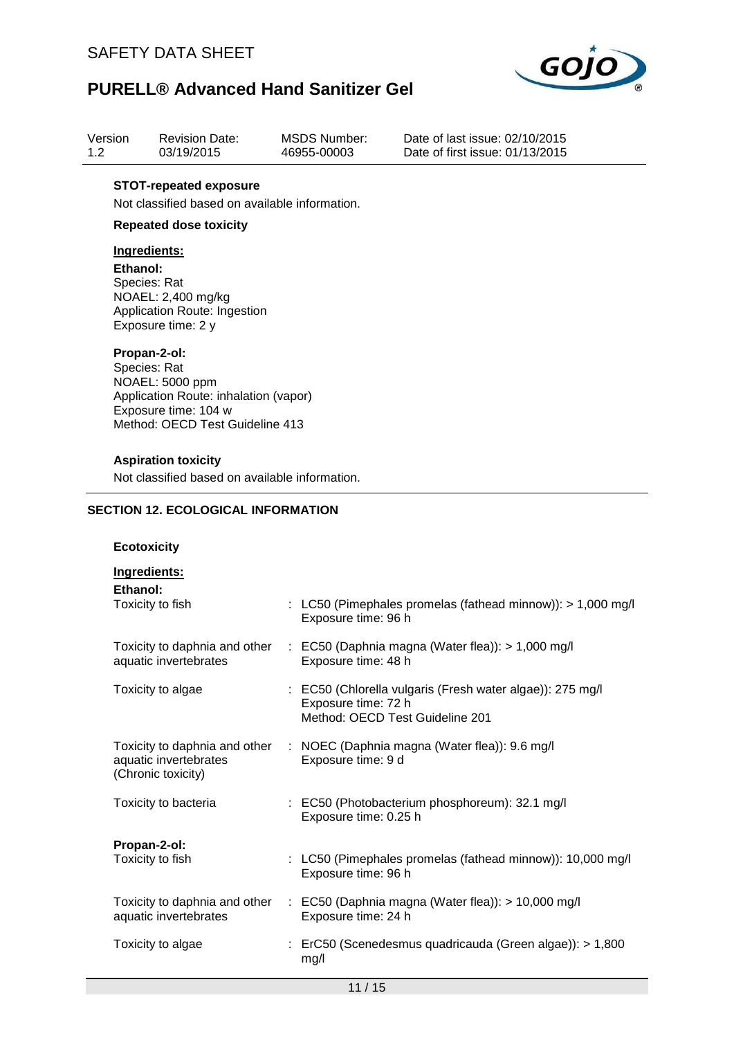

| Version | <b>Revision Date:</b> | MSDS Number: |
|---------|-----------------------|--------------|
| 1.2     | 03/19/2015            | 46955-00003  |

Date of last issue: 02/10/2015 Date of first issue: 01/13/2015

### **STOT-repeated exposure**

Not classified based on available information.

### **Repeated dose toxicity**

### **Ingredients:**

**Ethanol:** Species: Rat NOAEL: 2,400 mg/kg Application Route: Ingestion Exposure time: 2 y

#### **Propan-2-ol:**

Species: Rat NOAEL: 5000 ppm Application Route: inhalation (vapor) Exposure time: 104 w Method: OECD Test Guideline 413

#### **Aspiration toxicity**

Not classified based on available information.

### **SECTION 12. ECOLOGICAL INFORMATION**

### **Ecotoxicity**

| Ingredients:<br>Ethanol:                    |                                                                                                                     |
|---------------------------------------------|---------------------------------------------------------------------------------------------------------------------|
| Toxicity to fish                            | : LC50 (Pimephales promelas (fathead minnow)): > 1,000 mg/l<br>Exposure time: 96 h                                  |
| aquatic invertebrates                       | Toxicity to daphnia and other : EC50 (Daphnia magna (Water flea)): > 1,000 mg/l<br>Exposure time: 48 h              |
| Toxicity to algae                           | : EC50 (Chlorella vulgaris (Fresh water algae)): 275 mg/l<br>Exposure time: 72 h<br>Method: OECD Test Guideline 201 |
| aquatic invertebrates<br>(Chronic toxicity) | Toxicity to daphnia and other : NOEC (Daphnia magna (Water flea)): 9.6 mg/l<br>Exposure time: 9 d                   |
| Toxicity to bacteria                        | : EC50 (Photobacterium phosphoreum): 32.1 mg/l<br>Exposure time: 0.25 h                                             |
| Propan-2-ol:<br>Toxicity to fish            | : LC50 (Pimephales promelas (fathead minnow)): 10,000 mg/l<br>Exposure time: 96 h                                   |
| aquatic invertebrates                       | Toxicity to daphnia and other : EC50 (Daphnia magna (Water flea)): > 10,000 mg/l<br>Exposure time: 24 h             |
| Toxicity to algae                           | : ErC50 (Scenedesmus quadricauda (Green algae)): > 1,800<br>mg/l                                                    |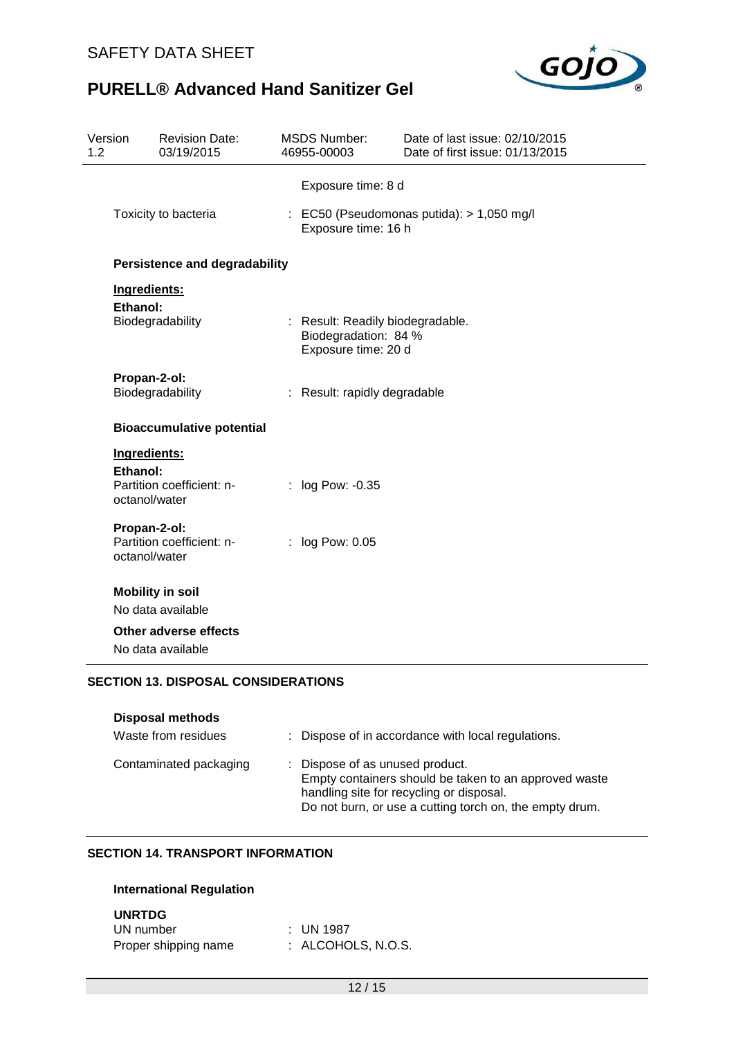

| Version<br>1.2 |                               | <b>Revision Date:</b><br>03/19/2015        | <b>MSDS Number:</b><br>46955-00003                                              | Date of last issue: 02/10/2015<br>Date of first issue: 01/13/2015 |  |
|----------------|-------------------------------|--------------------------------------------|---------------------------------------------------------------------------------|-------------------------------------------------------------------|--|
|                |                               |                                            | Exposure time: 8 d                                                              |                                                                   |  |
|                | Toxicity to bacteria          |                                            | : EC50 (Pseudomonas putida): > 1,050 mg/l<br>Exposure time: 16 h                |                                                                   |  |
|                |                               | Persistence and degradability              |                                                                                 |                                                                   |  |
|                | Ingredients:                  |                                            |                                                                                 |                                                                   |  |
|                | Ethanol:                      | Biodegradability                           | : Result: Readily biodegradable.<br>Biodegradation: 84 %<br>Exposure time: 20 d |                                                                   |  |
|                | Propan-2-ol:                  | Biodegradability                           | : Result: rapidly degradable                                                    |                                                                   |  |
|                |                               | <b>Bioaccumulative potential</b>           |                                                                                 |                                                                   |  |
|                | Ingredients:                  |                                            |                                                                                 |                                                                   |  |
|                | Ethanol:<br>octanol/water     | Partition coefficient: n-                  | : log Pow: -0.35                                                                |                                                                   |  |
|                | Propan-2-ol:<br>octanol/water | Partition coefficient: n-                  | $:$ log Pow: 0.05                                                               |                                                                   |  |
|                |                               | <b>Mobility in soil</b>                    |                                                                                 |                                                                   |  |
|                |                               | No data available                          |                                                                                 |                                                                   |  |
|                |                               | Other adverse effects                      |                                                                                 |                                                                   |  |
|                |                               | No data available                          |                                                                                 |                                                                   |  |
|                |                               | <b>SECTION 13. DISPOSAL CONSIDERATIONS</b> |                                                                                 |                                                                   |  |

| <b>Disposal methods</b><br>Waste from residues | : Dispose of in accordance with local regulations.                                                                                                                                              |
|------------------------------------------------|-------------------------------------------------------------------------------------------------------------------------------------------------------------------------------------------------|
| Contaminated packaging                         | : Dispose of as unused product.<br>Empty containers should be taken to an approved waste<br>handling site for recycling or disposal.<br>Do not burn, or use a cutting torch on, the empty drum. |

# **SECTION 14. TRANSPORT INFORMATION**

### **International Regulation**

### **UNRTDG**

| UN number            | : UN 1987          |
|----------------------|--------------------|
| Proper shipping name | : ALCOHOLS, N.O.S. |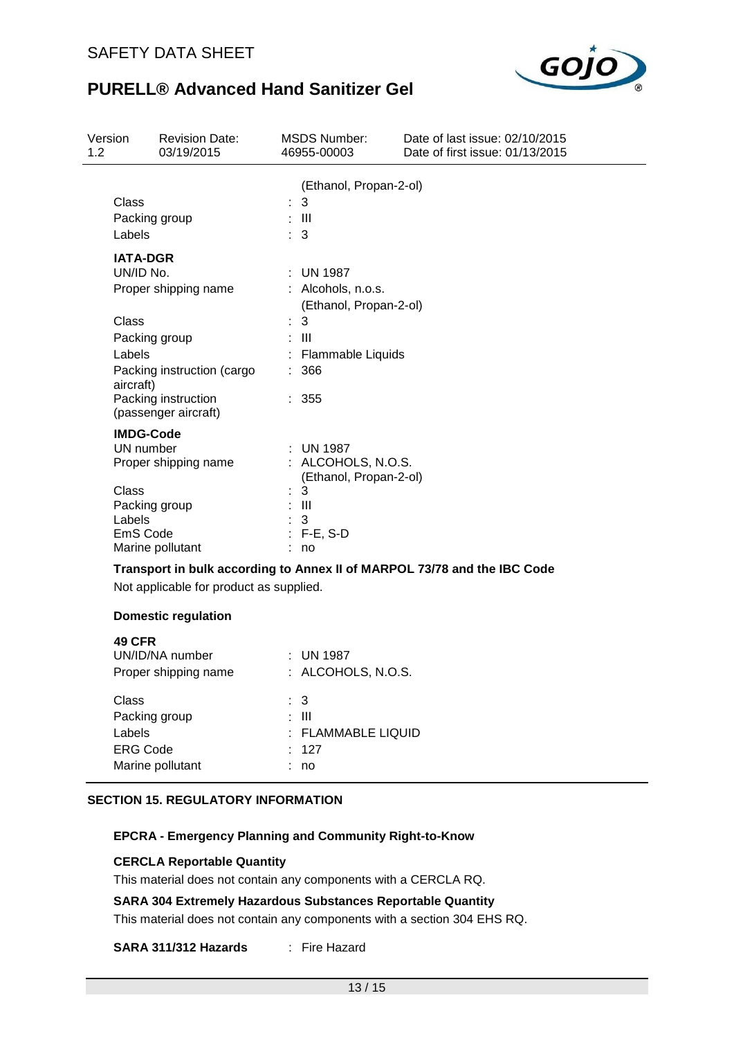

| Version<br>1.2 |                                                        | <b>Revision Date:</b><br>03/19/2015                                       |   | MSDS Number:<br>46955-00003                                                           | Date of last issue: 02/10/2015<br>Date of first issue: 01/13/2015        |
|----------------|--------------------------------------------------------|---------------------------------------------------------------------------|---|---------------------------------------------------------------------------------------|--------------------------------------------------------------------------|
|                | Class<br>Packing group<br>Labels                       |                                                                           | t | (Ethanol, Propan-2-ol)<br>3<br>$\overline{\phantom{1}}$ $\overline{\phantom{1}}$<br>3 |                                                                          |
|                | <b>IATA-DGR</b><br>UN/ID No.<br>Class<br>Packing group | Proper shipping name                                                      |   | UN 1987<br>: Alcohols, n.o.s.<br>(Ethanol, Propan-2-ol)<br>3<br>$\mathbf{III}$        |                                                                          |
|                | Labels<br>aircraft)                                    | Packing instruction (cargo<br>Packing instruction<br>(passenger aircraft) |   | Flammable Liquids<br>366<br>: 355                                                     |                                                                          |
|                | <b>IMDG-Code</b><br>UN number                          | Proper shipping name                                                      |   | <b>UN 1987</b><br>: ALCOHOLS, N.O.S.<br>(Ethanol, Propan-2-ol)                        |                                                                          |
|                | Class<br>Packing group<br>Labels<br>EmS Code           | Marine pollutant                                                          |   | 3<br>$\blacksquare$<br>3<br>$: F-E, S-D$<br>no                                        |                                                                          |
|                |                                                        | Not applicable for product as supplied.                                   |   |                                                                                       | Transport in bulk according to Annex II of MARPOL 73/78 and the IBC Code |
|                |                                                        | <b>Domestic regulation</b>                                                |   |                                                                                       |                                                                          |
|                | <b>49 CFR</b>                                          | UN/ID/NA number<br>Proper shipping name                                   |   | $:$ UN 1987<br>: ALCOHOLS, N.O.S.                                                     |                                                                          |
|                | Class                                                  |                                                                           |   | $\mathbf{3}$                                                                          |                                                                          |

| Uldəə            | . ა                |
|------------------|--------------------|
| Packing group    | : III              |
| Labels           | : FLAMMABLE LIQUID |
| <b>ERG Code</b>  | .127               |
| Marine pollutant | : no               |
|                  |                    |

### **SECTION 15. REGULATORY INFORMATION**

## **EPCRA - Emergency Planning and Community Right-to-Know**

### **CERCLA Reportable Quantity**

This material does not contain any components with a CERCLA RQ.

### **SARA 304 Extremely Hazardous Substances Reportable Quantity**

This material does not contain any components with a section 304 EHS RQ.

## **SARA 311/312 Hazards** : Fire Hazard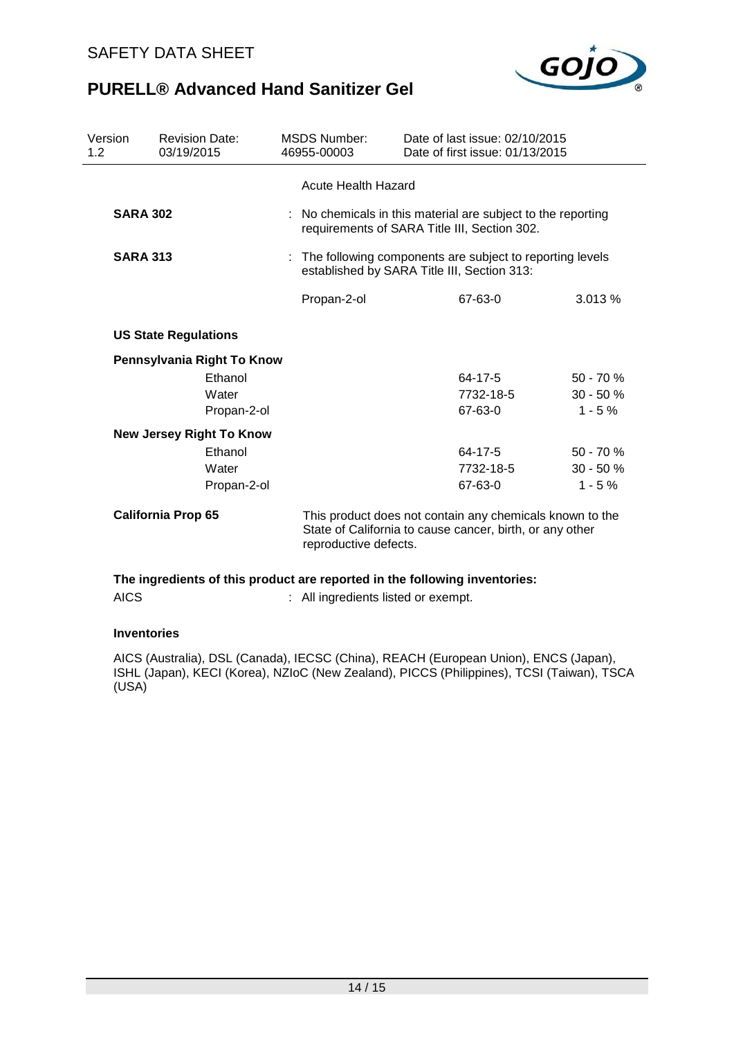

| <b>SARA 302</b>             |                                 | <b>Acute Health Hazard</b>                                                                                                                    |                                                                                                              |                                                                            |  |  |
|-----------------------------|---------------------------------|-----------------------------------------------------------------------------------------------------------------------------------------------|--------------------------------------------------------------------------------------------------------------|----------------------------------------------------------------------------|--|--|
|                             |                                 |                                                                                                                                               |                                                                                                              |                                                                            |  |  |
|                             |                                 |                                                                                                                                               | : No chemicals in this material are subject to the reporting<br>requirements of SARA Title III, Section 302. |                                                                            |  |  |
| <b>SARA 313</b>             |                                 |                                                                                                                                               | : The following components are subject to reporting levels<br>established by SARA Title III, Section 313:    |                                                                            |  |  |
|                             |                                 | Propan-2-ol                                                                                                                                   | 67-63-0                                                                                                      | 3.013 %                                                                    |  |  |
| <b>US State Regulations</b> |                                 |                                                                                                                                               |                                                                                                              |                                                                            |  |  |
|                             |                                 |                                                                                                                                               |                                                                                                              |                                                                            |  |  |
| Ethanol                     |                                 |                                                                                                                                               | 64-17-5                                                                                                      | $50 - 70 \%$                                                               |  |  |
| Water                       |                                 |                                                                                                                                               | 7732-18-5                                                                                                    | $30 - 50%$                                                                 |  |  |
| Propan-2-ol                 |                                 |                                                                                                                                               | 67-63-0                                                                                                      | $1 - 5 \%$                                                                 |  |  |
|                             |                                 |                                                                                                                                               |                                                                                                              |                                                                            |  |  |
| Ethanol                     |                                 |                                                                                                                                               | 64-17-5                                                                                                      | $50 - 70 \%$                                                               |  |  |
| Water                       |                                 |                                                                                                                                               | 7732-18-5                                                                                                    | $30 - 50%$                                                                 |  |  |
| Propan-2-ol                 |                                 |                                                                                                                                               | 67-63-0                                                                                                      | $1 - 5%$                                                                   |  |  |
| <b>California Prop 65</b>   |                                 | This product does not contain any chemicals known to the<br>State of California to cause cancer, birth, or any other<br>reproductive defects. |                                                                                                              |                                                                            |  |  |
|                             | <b>New Jersey Right To Know</b> | Pennsylvania Right To Know                                                                                                                    |                                                                                                              | The ingredients of this product are reported in the following inventories: |  |  |

# AICS : All ingredients listed or exempt.

### **Inventories**

AICS (Australia), DSL (Canada), IECSC (China), REACH (European Union), ENCS (Japan), ISHL (Japan), KECI (Korea), NZIoC (New Zealand), PICCS (Philippines), TCSI (Taiwan), TSCA (USA)